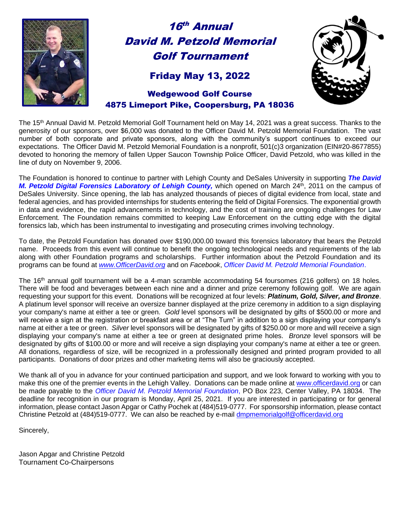

# 16 th Annual David M. Petzold Memorial Golf Tournament

### Friday May 13, 2022



#### Wedgewood Golf Course 4875 Limeport Pike, Coopersburg, PA 18036

The 15<sup>th</sup> Annual David M. Petzold Memorial Golf Tournament held on May 14, 2021 was a great success. Thanks to the generosity of our sponsors, over \$6,000 was donated to the Officer David M. Petzold Memorial Foundation. The vast number of both corporate and private sponsors, along with the community's support continues to exceed our expectations. The Officer David M. Petzold Memorial Foundation is a nonprofit, 501(c)3 organization (EIN#20-8677855) devoted to honoring the memory of fallen Upper Saucon Township Police Officer, David Petzold, who was killed in the line of duty on November 9, 2006.

The Foundation is honored to continue to partner with Lehigh County and DeSales University in supporting *The David M. Petzold Digital Forensics Laboratory of Lehigh County,* which opened on March 24<sup>th</sup>, 2011 on the campus of DeSales University. Since opening, the lab has analyzed thousands of pieces of digital evidence from local, state and federal agencies, and has provided internships for students entering the field of Digital Forensics. The exponential growth in data and evidence, the rapid advancements in technology, and the cost of training are ongoing challenges for Law Enforcement. The Foundation remains committed to keeping Law Enforcement on the cutting edge with the digital forensics lab, which has been instrumental to investigating and prosecuting crimes involving technology.

To date, the Petzold Foundation has donated over \$190,000.00 toward this forensics laboratory that bears the Petzold name. Proceeds from this event will continue to benefit the ongoing technological needs and requirements of the lab along with other Foundation programs and scholarships. Further information about the Petzold Foundation and its programs can be found at *www.OfficerDavid.org* and on *Facebook*, *Officer David M. Petzold Memorial Foundation*.

The 16<sup>th</sup> annual golf tournament will be a 4-man scramble accommodating 54 foursomes (216 golfers) on 18 holes. There will be food and beverages between each nine and a dinner and prize ceremony following golf. We are again requesting your support for this event. Donations will be recognized at four levels: *Platinum, Gold, Silver, and Bronze*. A platinum level sponsor will receive an oversize banner displayed at the prize ceremony in addition to a sign displaying your company's name at either a tee or green. *Gold* level sponsors will be designated by gifts of \$500.00 or more and will receive a sign at the registration or breakfast area or at "The Turn" in addition to a sign displaying your company's name at either a tee or green. *Silver* level sponsors will be designated by gifts of \$250.00 or more and will receive a sign displaying your company's name at either a tee or green at designated prime holes. *Bronze* level sponsors will be designated by gifts of \$100.00 or more and will receive a sign displaying your company's name at either a tee or green. All donations, regardless of size, will be recognized in a professionally designed and printed program provided to all participants. Donations of door prizes and other marketing items will also be graciously accepted.

We thank all of you in advance for your continued participation and support, and we look forward to working with you to make this one of the premier events in the Lehigh Valley. Donations can be made online at [www.officerdavid.org](http://www.officerdavid.org/) or can be made payable to the *Officer David M. Petzold Memorial Foundation*, PO Box 223, Center Valley, PA 18034. The deadline for recognition in our program is Monday, April 25, 2021. If you are interested in participating or for general information, please contact Jason Apgar or Cathy Pochek at (484)519-0777. For sponsorship information, please contact Christine Petzold at (484)519-0777. We can also be reached by e-mail [dmpmemorialgolf@officerdavid.org](mailto:dmpmemorialgolf@officerdavid.org)

Sincerely,

Jason Apgar and Christine Petzold Tournament Co-Chairpersons